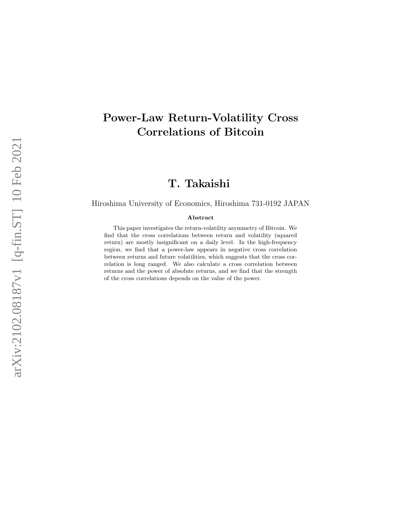# Power-Law Return-Volatility Cross Correlations of Bitcoin

## T. Takaishi

Hiroshima University of Economics, Hiroshima 731-0192 JAPAN

#### Abstract

This paper investigates the return-volatility asymmetry of Bitcoin. We find that the cross correlations between return and volatility (squared return) are mostly insignificant on a daily level. In the high-frequency region, we find that a power-law appears in negative cross correlation between returns and future volatilities, which suggests that the cross correlation is long ranged. We also calculate a cross correlation between returns and the power of absolute returns, and we find that the strength of the cross correlations depends on the value of the power.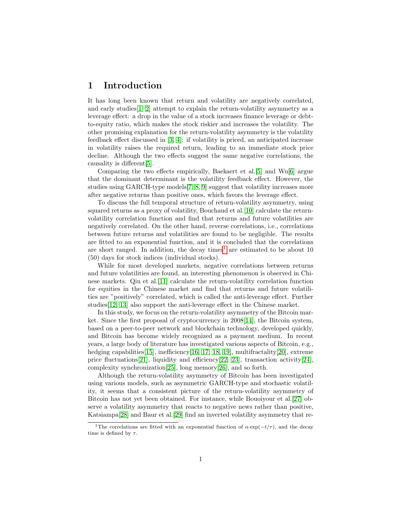#### 1 Introduction

It has long been known that return and volatility are negatively correlated, and early studies  $\left|1, 2\right|$  attempt to explain the return-volatility asymmetry as a leverage effect: a drop in the value of a stock increases finance leverage or debtto-equity ratio, which makes the stock riskier and increases the volatility. The other promising explanation for the return-volatility asymmetry is the volatility feedback effect discussed in [\[3,](#page-7-2) [4\]](#page-8-0): if volatility is priced, an anticipated increase in volatility raises the required return, leading to an immediate stock price decline. Although the two effects suggest the same negative correlations, the causality is different[\[5\]](#page-8-1).

Comparing the two effects empirically, Baekaert et al.[\[5\]](#page-8-1) and Wu[\[6\]](#page-8-2) argue that the dominant determinant is the volatility feedback effect. However, the studies using GARCH-type models[\[7,](#page-8-3) [8,](#page-8-4) [9\]](#page-8-5) suggest that volatility increases more after negative returns than positive ones, which favors the leverage effect.

To discuss the full temporal structure of return-volatility asymmetry, using squared returns as a proxy of volatility, Bouchaud et al.[\[10\]](#page-8-6) calculate the returnvolatility correlation function and find that returns and future volatilities are negatively correlated. On the other hand, reverse correlations, i.e., correlations between future returns and volatilities are found to be negligible. The results are fitted to an exponential function, and it is concluded that the correlations are short ranged. In addition, the decay times<sup>[1](#page-1-0)</sup> are estimated to be about  $10$ (50) days for stock indices (individual stocks).

While for most developed markets, negative correlations between returns and future volatilities are found, an interesting phenomenon is observed in Chinese markets. Qiu et al.[\[11\]](#page-8-7) calculate the return-volatility correlation function for equities in the Chinese market and find that returns and future volatilities are "positively" correlated, which is called the anti-leverage effect. Further studies[\[12,](#page-8-8) [13\]](#page-8-9) also support the anti-leverage effect in the Chinese market.

In this study, we focus on the return-volatility asymmetry of the Bitcoin market. Since the first proposal of cryptocurrency in 2008[\[14\]](#page-8-10), the Bitcoin system, based on a peer-to-peer network and blockchain technology, developed quickly, and Bitcoin has become widely recognized as a payment medium. In recent years, a large body of literature has investigated various aspects of Bitcoin, e.g., hedging capabilities [\[15\]](#page-8-11), inefficiency [\[16,](#page-8-12) [17,](#page-8-13) [18,](#page-8-14) [19\]](#page-8-15), multifractality [\[20\]](#page-9-0), extreme price fluctuations [\[21\]](#page-9-1), liquidity and efficiency [\[22,](#page-9-2) [23\]](#page-9-3), transaction activity [\[24\]](#page-9-4), complexity synchronization[\[25\]](#page-9-5), long memory[\[26\]](#page-9-6), and so forth.

Although the return-volatility asymmetry of Bitcoin has been investigated using various models, such as asymmetric GARCH-type and stochastic volatility, it seems that a consistent picture of the return-volatility asymmetry of Bitcoin has not yet been obtained. For instance, while Bouoiyour et al.[\[27\]](#page-9-7) observe a volatility asymmetry that reacts to negative news rather than positive, Katsiampa[\[28\]](#page-9-8) and Baur et al.[\[29\]](#page-9-9) find an inverted volatility asymmetry that re-

<span id="page-1-0"></span><sup>&</sup>lt;sup>1</sup>The correlations are fitted with an exponential function of  $\alpha \exp(-t/\tau)$ , and the decay time is defined by  $\tau$ .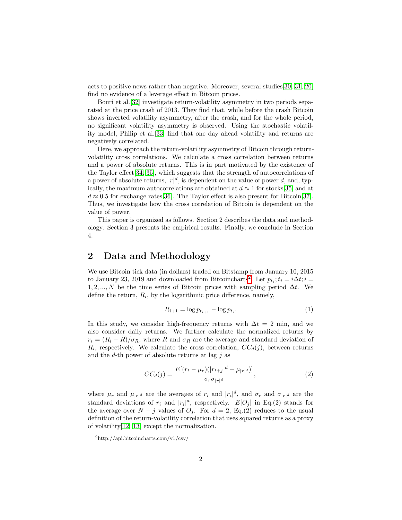acts to positive news rather than negative. Moreover, several studies[\[30,](#page-9-10) [31,](#page-9-11) [20\]](#page-9-0) find no evidence of a leverage effect in Bitcoin prices.

Bouri et al.[\[32\]](#page-9-12) investigate return-volatility asymmetry in two periods separated at the price crash of 2013. They find that, while before the crash Bitcoin shows inverted volatility asymmetry, after the crash, and for the whole period, no significant volatility asymmetry is observed. Using the stochastic volatility model, Philip et al.[\[33\]](#page-9-13) find that one day ahead volatility and returns are negatively correlated.

Here, we approach the return-volatility asymmetry of Bitcoin through returnvolatility cross correlations. We calculate a cross correlation between returns and a power of absolute returns. This is in part motivated by the existence of the Taylor effect[\[34,](#page-9-14) [35\]](#page-10-0), which suggests that the strength of autocorrelations of a power of absolute returns,  $|r|^d$ , is dependent on the value of power d, and, typically, the maximum autocorrelations are obtained at  $d \approx 1$  for stocks[\[35\]](#page-10-0) and at  $d \approx 0.5$  for exchange rates [\[36\]](#page-10-1). The Taylor effect is also present for Bitcoin [\[37\]](#page-10-2). Thus, we investigate how the cross correlation of Bitcoin is dependent on the value of power.

This paper is organized as follows. Section 2 describes the data and methodology. Section 3 presents the empirical results. Finally, we conclude in Section 4.

#### 2 Data and Methodology

We use Bitcoin tick data (in dollars) traded on Bitstamp from January 10, 2015 to January [2](#page-2-0)3, 2019 and downloaded from Bitcoincharts<sup>2</sup>. Let  $p_{t_i}$ ;  $t_i = i\Delta t$ ;  $i =$ 1, 2, ..., N be the time series of Bitcoin prices with sampling period  $\Delta t$ . We define the return,  $R_i$ , by the logarithmic price difference, namely,

$$
R_{i+1} = \log p_{t_{i+1}} - \log p_{t_i}.\tag{1}
$$

In this study, we consider high-frequency returns with  $\Delta t = 2$  min, and we also consider daily returns. We further calculate the normalized returns by  $r_i = (R_i - \bar{R})/\sigma_R$ , where  $\bar{R}$  and  $\sigma_R$  are the average and standard deviation of  $R_i$ , respectively. We calculate the cross correlation,  $CC_d(j)$ , between returns and the d-th power of absolute returns at lag  $j$  as

$$
CC_d(j) = \frac{E[(r_t - \mu_r)(|r_{t+j}|^d - \mu_{|r|^d})]}{\sigma_r \sigma_{|r|^d}},
$$
\n(2)

where  $\mu_r$  and  $\mu_{|r|^d}$  are the averages of  $r_i$  and  $|r_i|^d$ , and  $\sigma_r$  and  $\sigma_{|r|^d}$  are the standard deviations of  $r_i$  and  $|r_i|^d$ , respectively.  $E[O_j]$  in Eq.(2) stands for the average over  $N - j$  values of  $O_j$ . For  $d = 2$ , Eq.(2) reduces to the usual definition of the return-volatility correlation that uses squared returns as a proxy of volatility[\[12,](#page-8-8) [13\]](#page-8-9) except the normalization.

<span id="page-2-0"></span><sup>2</sup>http://api.bitcoincharts.com/v1/csv/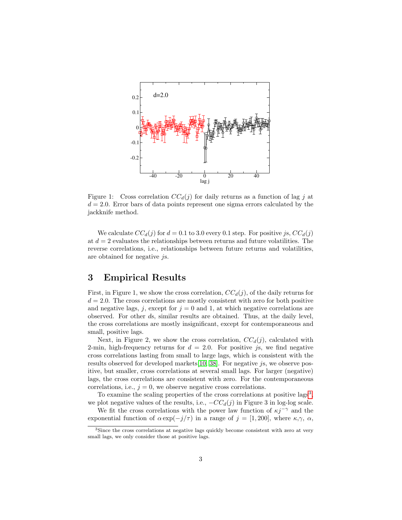

Figure 1: Cross correlation  $CC_d(j)$  for daily returns as a function of lag j at  $d = 2.0$ . Error bars of data points represent one sigma errors calculated by the jackknife method.

We calculate  $CC_d(j)$  for  $d = 0.1$  to 3.0 every 0.1 step. For positive js,  $CC_d(j)$ at  $d = 2$  evaluates the relationships between returns and future volatilities. The reverse correlations, i.e., relationships between future returns and volatilities, are obtained for negative js.

#### 3 Empirical Results

First, in Figure 1, we show the cross correlation,  $CC_d(j)$ , of the daily returns for  $d = 2.0$ . The cross correlations are mostly consistent with zero for both positive and negative lags, j, except for  $j = 0$  and 1, at which negative correlations are observed. For other ds, similar results are obtained. Thus, at the daily level, the cross correlations are mostly insignificant, except for contemporaneous and small, positive lags.

Next, in Figure 2, we show the cross correlation,  $CC_d(j)$ , calculated with 2-min, high-frequency returns for  $d = 2.0$ . For positive js, we find negative cross correlations lasting from small to large lags, which is consistent with the results observed for developed markets[\[10,](#page-8-6) [38\]](#page-10-3). For negative js, we observe positive, but smaller, cross correlations at several small lags. For larger (negative) lags, the cross correlations are consistent with zero. For the contemporaneous correlations, i.e.,  $j = 0$ , we observe negative cross correlations.

To examine the scaling properties of the cross correlations at positive lags<sup>[3](#page-3-0)</sup>, we plot negative values of the results, i.e.,  $-CC_d(j)$  in Figure 3 in log-log scale.

We fit the cross correlations with the power law function of  $\kappa j^{-\gamma}$  and the exponential function of  $\alpha \exp(-j/\tau)$  in a range of  $j = [1, 200]$ , where  $\kappa, \gamma, \alpha$ ,

<span id="page-3-0"></span><sup>3</sup>Since the cross correlations at negative lags quickly become consistent with zero at very small lags, we only consider those at positive lags.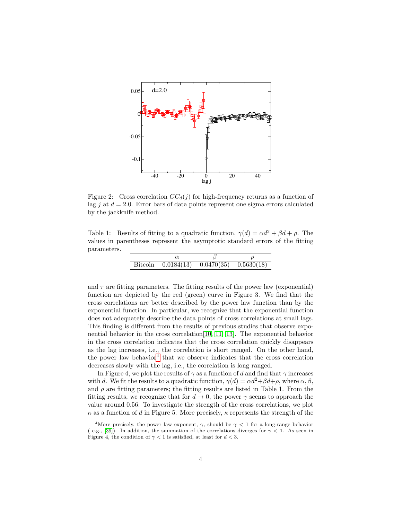

Figure 2: Cross correlation  $CC_d(j)$  for high-frequency returns as a function of lag j at  $d = 2.0$ . Error bars of data points represent one sigma errors calculated by the jackknife method.

Table 1: Results of fitting to a quadratic function,  $\gamma(d) = \alpha d^2 + \beta d + \rho$ . The values in parentheses represent the asymptotic standard errors of the fitting parameters.

|  | Bitcoin $0.0184(13)$ $0.0470(35)$ $0.5630(18)$ |  |
|--|------------------------------------------------|--|

and  $\tau$  are fitting parameters. The fitting results of the power law (exponential) function are depicted by the red (green) curve in Figure 3. We find that the cross correlations are better described by the power law function than by the exponential function. In particular, we recognize that the exponential function does not adequately describe the data points of cross correlations at small lags. This finding is different from the results of previous studies that observe exponential behavior in the cross correlation[\[10,](#page-8-6) [11,](#page-8-7) [13\]](#page-8-9). The exponential behavior in the cross correlation indicates that the cross correlation quickly disappears as the lag increases, i.e., the correlation is short ranged. On the other hand, the power law behavior<sup>[4](#page-4-0)</sup> that we observe indicates that the cross correlation decreases slowly with the lag, i.e., the correlation is long ranged.

In Figure 4, we plot the results of  $\gamma$  as a function of d and find that  $\gamma$  increases with d. We fit the results to a quadratic function,  $\gamma(d) = \alpha d^2 + \beta d + \rho$ , where  $\alpha, \beta$ , and  $\rho$  are fitting parameters; the fitting results are listed in Table 1. From the fitting results, we recognize that for  $d \to 0$ , the power  $\gamma$  seems to approach the value around 0.56. To investigate the strength of the cross correlations, we plot  $\kappa$  as a function of d in Figure 5. More precisely,  $\kappa$  represents the strength of the

<span id="page-4-0"></span><sup>&</sup>lt;sup>4</sup>More precisely, the power law exponent,  $\gamma$ , should be  $\gamma$  < 1 for a long-range behavior ( e.g., [\[39\]](#page-10-4)). In addition, the summation of the correlations diverges for  $\gamma < 1$ . As seen in Figure 4, the condition of  $\gamma < 1$  is satisfied, at least for  $d < 3$ .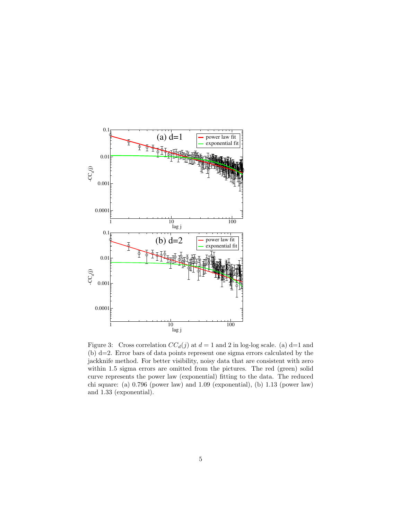

Figure 3: Cross correlation  $CC_d(j)$  at  $d=1$  and 2 in log-log scale. (a) d=1 and (b) d=2. Error bars of data points represent one sigma errors calculated by the jackknife method. For better visibility, noisy data that are consistent with zero within 1.5 sigma errors are omitted from the pictures. The red (green) solid curve represents the power law (exponential) fitting to the data. The reduced chi square: (a) 0.796 (power law) and 1.09 (exponential), (b) 1.13 (power law) and 1.33 (exponential).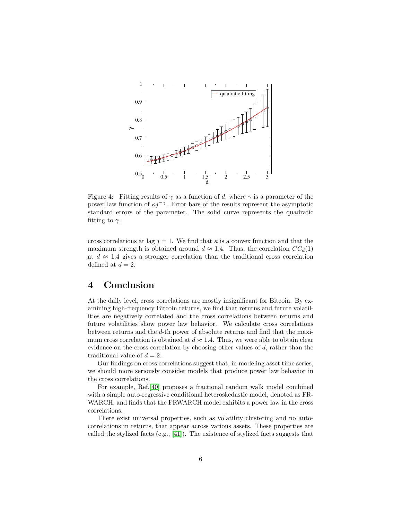

Figure 4: Fitting results of  $\gamma$  as a function of d, where  $\gamma$  is a parameter of the power law function of  $\kappa j^{-\gamma}$ . Error bars of the results represent the asymptotic standard errors of the parameter. The solid curve represents the quadratic fitting to  $\gamma$ .

cross correlations at lag  $j = 1$ . We find that  $\kappa$  is a convex function and that the maximum strength is obtained around  $d \approx 1.4$ . Thus, the correlation  $CC_d(1)$ at  $d \approx 1.4$  gives a stronger correlation than the traditional cross correlation defined at  $d = 2$ .

### 4 Conclusion

At the daily level, cross correlations are mostly insignificant for Bitcoin. By examining high-frequency Bitcoin returns, we find that returns and future volatilities are negatively correlated and the cross correlations between returns and future volatilities show power law behavior. We calculate cross correlations between returns and the d-th power of absolute returns and find that the maximum cross correlation is obtained at  $d \approx 1.4$ . Thus, we were able to obtain clear evidence on the cross correlation by choosing other values of d, rather than the traditional value of  $d = 2$ .

Our findings on cross correlations suggest that, in modeling asset time series, we should more seriously consider models that produce power law behavior in the cross correlations.

For example, Ref.[\[40\]](#page-10-5) proposes a fractional random walk model combined with a simple auto-regressive conditional heteroskedastic model, denoted as FR-WARCH, and finds that the FRWARCH model exhibits a power law in the cross correlations.

There exist universal properties, such as volatility clustering and no autocorrelations in returns, that appear across various assets. These properties are called the stylized facts (e.g., [\[41\]](#page-10-6)). The existence of stylized facts suggests that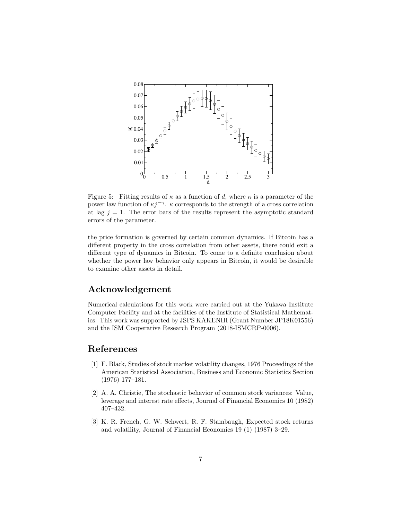

Figure 5: Fitting results of  $\kappa$  as a function of d, where  $\kappa$  is a parameter of the power law function of  $\kappa j^{-\gamma}$ .  $\kappa$  corresponds to the strength of a cross correlation at lag  $j = 1$ . The error bars of the results represent the asymptotic standard errors of the parameter.

the price formation is governed by certain common dynamics. If Bitcoin has a different property in the cross correlation from other assets, there could exit a different type of dynamics in Bitcoin. To come to a definite conclusion about whether the power law behavior only appears in Bitcoin, it would be desirable to examine other assets in detail.

#### Acknowledgement

Numerical calculations for this work were carried out at the Yukawa Institute Computer Facility and at the facilities of the Institute of Statistical Mathematics. This work was supported by JSPS KAKENHI (Grant Number JP18K01556) and the ISM Cooperative Research Program (2018-ISMCRP-0006).

#### References

- <span id="page-7-0"></span>[1] F. Black, Studies of stock market volatility changes, 1976 Proceedings of the American Statisticsl Association, Business and Economic Statistics Section (1976) 177–181.
- <span id="page-7-1"></span>[2] A. A. Christie, The stochastic behavior of common stock variances: Value, leverage and interest rate effects, Journal of Financial Economics 10 (1982) 407–432.
- <span id="page-7-2"></span>[3] K. R. French, G. W. Schwert, R. F. Stambaugh, Expected stock returns and volatility, Journal of Financial Economics 19 (1) (1987) 3–29.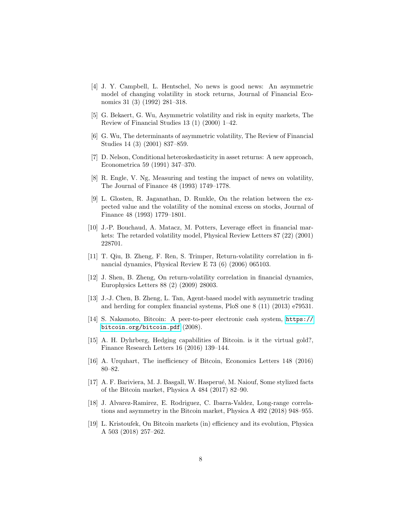- <span id="page-8-0"></span>[4] J. Y. Campbell, L. Hentschel, No news is good news: An asymmetric model of changing volatility in stock returns, Journal of Financial Economics 31 (3) (1992) 281–318.
- <span id="page-8-1"></span>[5] G. Bekaert, G. Wu, Asymmetric volatility and risk in equity markets, The Review of Financial Studies 13 (1) (2000) 1–42.
- <span id="page-8-2"></span>[6] G. Wu, The determinants of asymmetric volatility, The Review of Financial Studies 14 (3) (2001) 837–859.
- <span id="page-8-3"></span>[7] D. Nelson, Conditional heteroskedasticity in asset returns: A new approach, Econometrica 59 (1991) 347–370.
- <span id="page-8-4"></span>[8] R. Engle, V. Ng, Measuring and testing the impact of news on volatility, The Journal of Finance 48 (1993) 1749–1778.
- <span id="page-8-5"></span>[9] L. Glosten, R. Jaganathan, D. Runkle, On the relation between the expected value and the volatility of the nominal excess on stocks, Journal of Finance 48 (1993) 1779–1801.
- <span id="page-8-6"></span>[10] J.-P. Bouchaud, A. Matacz, M. Potters, Leverage effect in financial markets: The retarded volatility model, Physical Review Letters 87 (22) (2001) 228701.
- <span id="page-8-7"></span>[11] T. Qiu, B. Zheng, F. Ren, S. Trimper, Return-volatility correlation in financial dynamics, Physical Review E 73 (6) (2006) 065103.
- <span id="page-8-8"></span>[12] J. Shen, B. Zheng, On return-volatility correlation in financial dynamics, Europhysics Letters 88 (2) (2009) 28003.
- <span id="page-8-9"></span>[13] J.-J. Chen, B. Zheng, L. Tan, Agent-based model with asymmetric trading and herding for complex financial systems, PloS one 8 (11) (2013) e79531.
- <span id="page-8-10"></span>[14] S. Nakamoto, Bitcoin: A peer-to-peer electronic cash system, [https://](https://bitcoin.org/bitcoin.pdf) [bitcoin.org/bitcoin.pdf](https://bitcoin.org/bitcoin.pdf) (2008).
- <span id="page-8-11"></span>[15] A. H. Dyhrberg, Hedging capabilities of Bitcoin. is it the virtual gold?, Finance Research Letters 16 (2016) 139–144.
- <span id="page-8-12"></span>[16] A. Urquhart, The inefficiency of Bitcoin, Economics Letters 148 (2016) 80–82.
- <span id="page-8-13"></span>[17] A. F. Bariviera, M. J. Basgall, W. Hasperué, M. Naiouf, Some stylized facts of the Bitcoin market, Physica A 484 (2017) 82–90.
- <span id="page-8-14"></span>[18] J. Alvarez-Ramirez, E. Rodriguez, C. Ibarra-Valdez, Long-range correlations and asymmetry in the Bitcoin market, Physica A 492 (2018) 948–955.
- <span id="page-8-15"></span>[19] L. Kristoufek, On Bitcoin markets (in) efficiency and its evolution, Physica A 503 (2018) 257–262.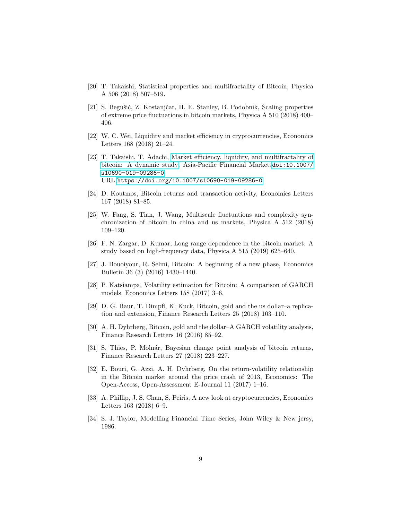- <span id="page-9-0"></span>[20] T. Takaishi, Statistical properties and multifractality of Bitcoin, Physica A 506 (2018) 507–519.
- <span id="page-9-1"></span>[21] S. Begušić, Z. Kostanjčar, H. E. Stanley, B. Podobnik, Scaling properties of extreme price fluctuations in bitcoin markets, Physica A 510 (2018) 400– 406.
- <span id="page-9-2"></span>[22] W. C. Wei, Liquidity and market efficiency in cryptocurrencies, Economics Letters 168 (2018) 21–24.
- <span id="page-9-3"></span>[23] T. Takaishi, T. Adachi, [Market efficiency, liquidity, and multifractality of](https://doi.org/10.1007/s10690-019-09286-0) [bitcoin: A dynamic study,](https://doi.org/10.1007/s10690-019-09286-0) Asia-Pacific Financial Markets[doi:10.1007/](http://dx.doi.org/10.1007/s10690-019-09286-0) [s10690-019-09286-0](http://dx.doi.org/10.1007/s10690-019-09286-0). URL <https://doi.org/10.1007/s10690-019-09286-0>
- <span id="page-9-4"></span>[24] D. Koutmos, Bitcoin returns and transaction activity, Economics Letters 167 (2018) 81–85.
- <span id="page-9-5"></span>[25] W. Fang, S. Tian, J. Wang, Multiscale fluctuations and complexity synchronization of bitcoin in china and us markets, Physica A 512 (2018) 109–120.
- <span id="page-9-6"></span>[26] F. N. Zargar, D. Kumar, Long range dependence in the bitcoin market: A study based on high-frequency data, Physica A 515 (2019) 625–640.
- <span id="page-9-7"></span>[27] J. Bouoiyour, R. Selmi, Bitcoin: A beginning of a new phase, Economics Bulletin 36 (3) (2016) 1430–1440.
- <span id="page-9-8"></span>[28] P. Katsiampa, Volatility estimation for Bitcoin: A comparison of GARCH models, Economics Letters 158 (2017) 3–6.
- <span id="page-9-9"></span>[29] D. G. Baur, T. Dimpfl, K. Kuck, Bitcoin, gold and the us dollar–a replication and extension, Finance Research Letters 25 (2018) 103–110.
- <span id="page-9-10"></span>[30] A. H. Dyhrberg, Bitcoin, gold and the dollar–A GARCH volatility analysis, Finance Research Letters 16 (2016) 85–92.
- <span id="page-9-11"></span>[31] S. Thies, P. Molnár, Bayesian change point analysis of bitcoin returns, Finance Research Letters 27 (2018) 223–227.
- <span id="page-9-12"></span>[32] E. Bouri, G. Azzi, A. H. Dyhrberg, On the return-volatility relationship in the Bitcoin market around the price crash of 2013, Economics: The Open-Access, Open-Assessment E-Journal 11 (2017) 1–16.
- <span id="page-9-13"></span>[33] A. Phillip, J. S. Chan, S. Peiris, A new look at cryptocurrencies, Economics Letters 163 (2018) 6–9.
- <span id="page-9-14"></span>[34] S. J. Taylor, Modelling Financial Time Series, John Wiley & New jersy, 1986.